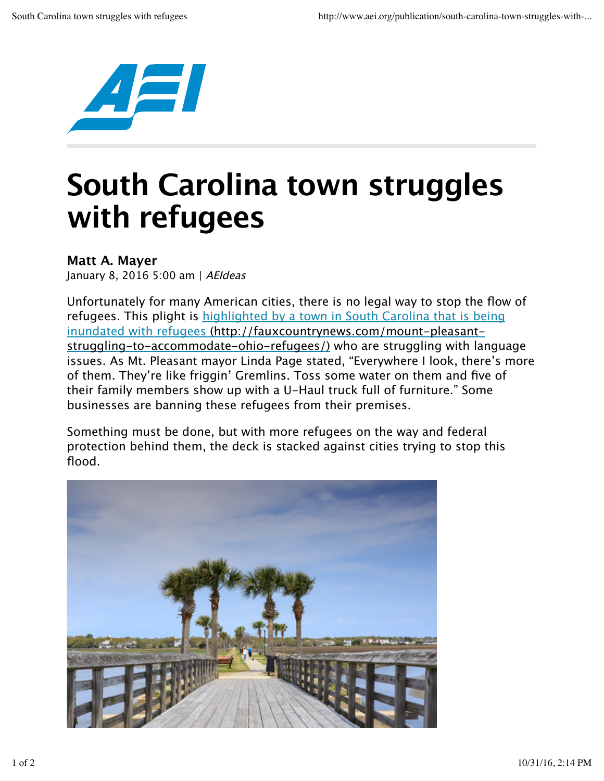

## **South Carolina town struggles with refugees**

## **Matt A. Mayer**

January 8, 2016 5:00 am | AEIdeas

Unfortunately for many American cities, there is no legal way to stop the flow of refugees. This plight is highlighted by a town in South Carolina that is being inundated with refugees (http://fauxcountrynews.com/mount-pleasantstruggling-to-accommodate-ohio-refugees/) who are struggling with language issues. As Mt. Pleasant mayor Linda Page stated, "Everywhere I look, there's more of them. They're like friggin' Gremlins. Toss some water on them and five of their family members show up with a U-Haul truck full of furniture." Some businesses are banning these refugees from their premises.

Something must be done, but with more refugees on the way and federal protection behind them, the deck is stacked against cities trying to stop this flood.